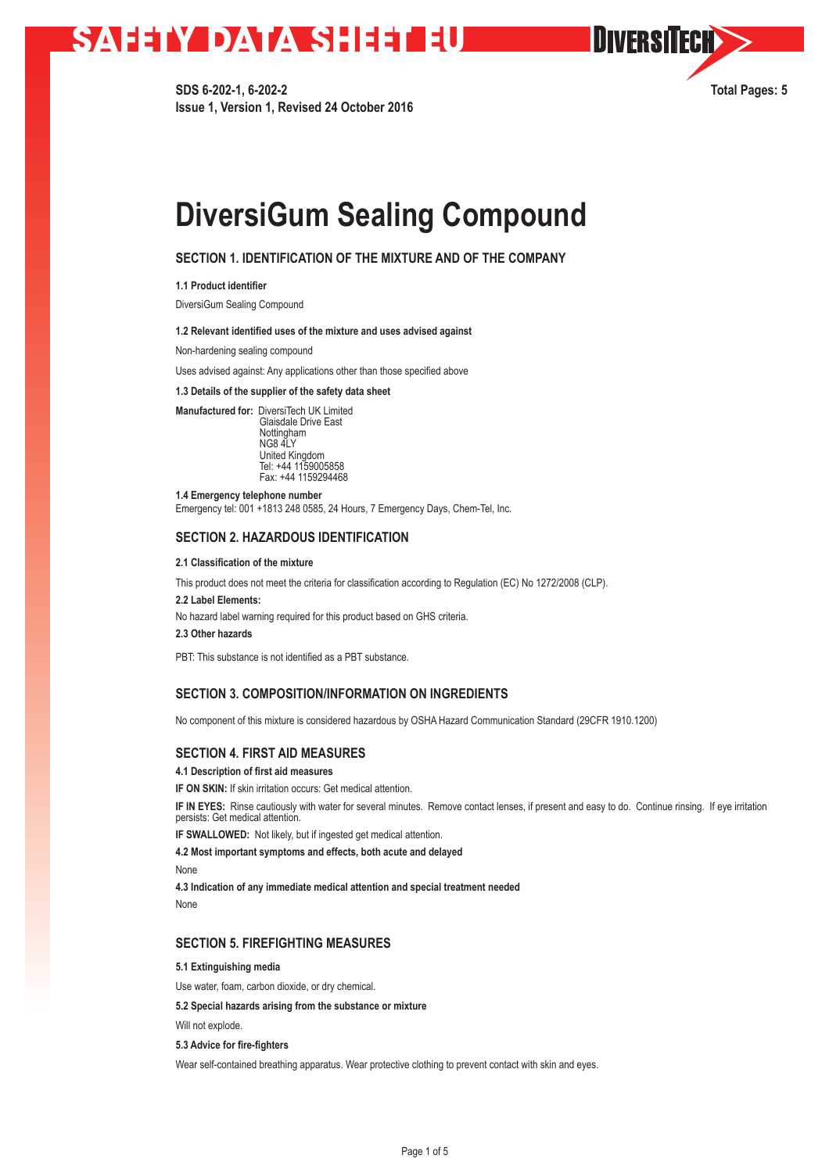# **SAHAY DATA SHEETU**

**SDS 6-202-1, 6-202-2 Total Pages: 5 Issue 1, Version 1, Revised 24 October 2016**

**OIVERSITECH** 

## **DiversiGum Sealing Compound**

## **SECTION 1. IDENTIFICATION OF THE MIXTURE AND OF THE COMPANY**

**1.1 Product identifier** 

DiversiGum Sealing Compound

#### **1.2 Relevant identified uses of the mixture and uses advised against**

Non-hardening sealing compound

Uses advised against: Any applications other than those specified above

**1.3 Details of the supplier of the safety data sheet** 

**Manufactured for:** DiversiTech UK Limited Glaisdale Drive East Nottingham NG8 4LY United Kingdom Tel: +44 1159005858 Fax: +44 1159294468

**1.4 Emergency telephone number** Emergency tel: 001 +1813 248 0585, 24 Hours, 7 Emergency Days, Chem-Tel, Inc.

### **SECTION 2. HAZARDOUS IDENTIFICATION**

**2.1 Classification of the mixture**

This product does not meet the criteria for classification according to Regulation (EC) No 1272/2008 (CLP).

**2.2 Label Elements:** 

No hazard label warning required for this product based on GHS criteria.

**2.3 Other hazards**

PBT: This substance is not identified as a PBT substance.

## **SECTION 3. COMPOSITION/INFORMATION ON INGREDIENTS**

No component of this mixture is considered hazardous by OSHA Hazard Communication Standard (29CFR 1910.1200)

### **SECTION 4. FIRST AID MEASURES**

**4.1 Description of first aid measures** 

**IF ON SKIN:** If skin irritation occurs: Get medical attention.

**IF IN EYES:** Rinse cautiously with water for several minutes. Remove contact lenses, if present and easy to do. Continue rinsing. If eye irritation persists: Get medical attention.

**IF SWALLOWED:** Not likely, but if ingested get medical attention.

**4.2 Most important symptoms and effects, both acute and delayed**

None

**4.3 Indication of any immediate medical attention and special treatment needed** None

### **SECTION 5. FIREFIGHTING MEASURES**

**5.1 Extinguishing media**

Use water, foam, carbon dioxide, or dry chemical.

**5.2 Special hazards arising from the substance or mixture**

Will not explode.

**5.3 Advice for fire-fighters** 

Wear self-contained breathing apparatus. Wear protective clothing to prevent contact with skin and eyes.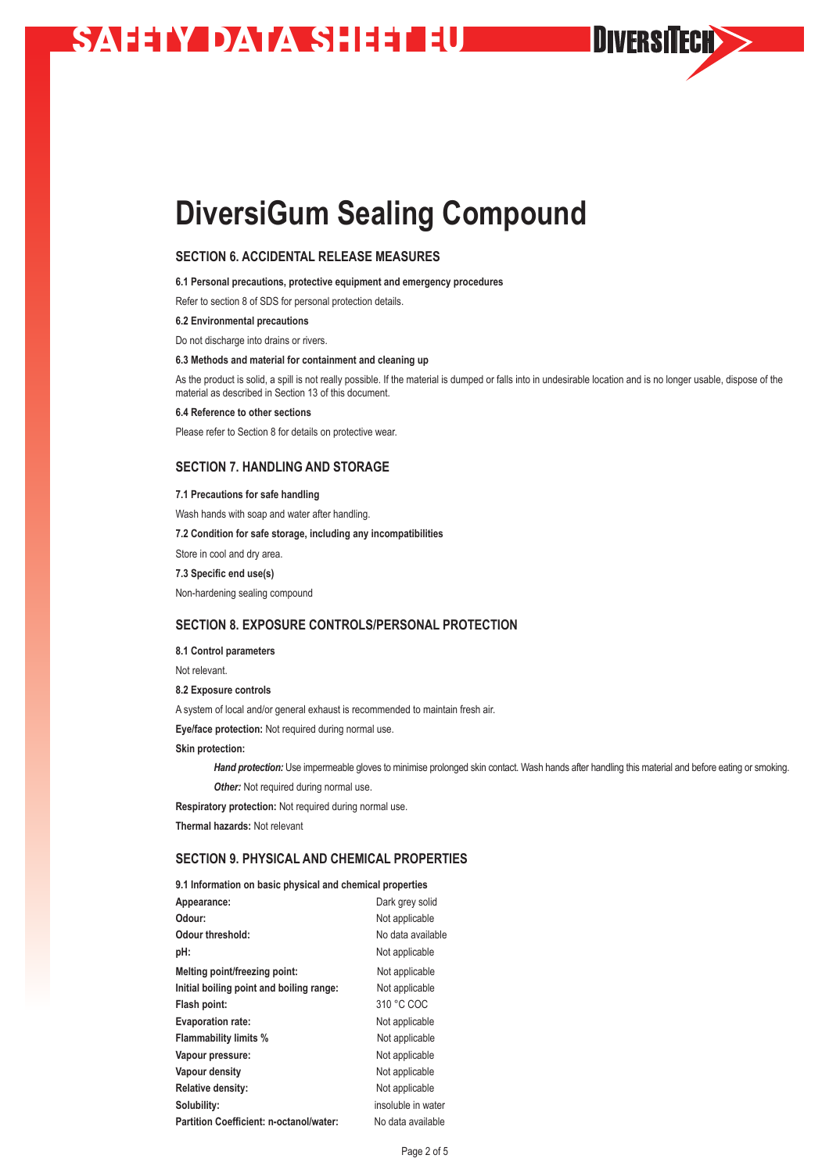# **SAHAY DATA SHEETUD**

## **DiversiGum Sealing Compound**

## **SECTION 6. ACCIDENTAL RELEASE MEASURES**

**6.1 Personal precautions, protective equipment and emergency procedures** 

Refer to section 8 of SDS for personal protection details.

#### **6.2 Environmental precautions**

Do not discharge into drains or rivers.

#### **6.3 Methods and material for containment and cleaning up**

As the product is solid, a spill is not really possible. If the material is dumped or falls into in undesirable location and is no longer usable, dispose of the material as described in Section 13 of this document.

**DIVERSITECH>>** 

#### **6.4 Reference to other sections**

Please refer to Section 8 for details on protective wear.

### **SECTION 7. HANDLING AND STORAGE**

#### **7.1 Precautions for safe handling**

Wash hands with soap and water after handling. **7.2 Condition for safe storage, including any incompatibilities** Store in cool and dry area. **7.3 Specific end use(s)** Non-hardening sealing compound

## **SECTION 8. EXPOSURE CONTROLS/PERSONAL PROTECTION**

#### **8.1 Control parameters**

Not relevant.

#### **8.2 Exposure controls**

A system of local and/or general exhaust is recommended to maintain fresh air.

**Eye/face protection:** Not required during normal use.

**Skin protection:** 

*Hand protection:* Use impermeable gloves to minimise prolonged skin contact. Wash hands after handling this material and before eating or smoking. **Other:** Not required during normal use.

**Respiratory protection:** Not required during normal use.

**9.1 Information on basic physical and chemical properties**

**Thermal hazards:** Not relevant

### **SECTION 9. PHYSICAL AND CHEMICAL PROPERTIES**

| 9.1 Information on basic physical and chemical properties |                    |
|-----------------------------------------------------------|--------------------|
| Appearance:                                               | Dark grey solid    |
| Odour:                                                    | Not applicable     |
| Odour threshold:                                          | No data available  |
| pH:                                                       | Not applicable     |
| Melting point/freezing point:                             | Not applicable     |
| Initial boiling point and boiling range:                  | Not applicable     |
| Flash point:                                              | 310 °C COC         |
| <b>Evaporation rate:</b>                                  | Not applicable     |
| <b>Flammability limits %</b>                              | Not applicable     |
| Vapour pressure:                                          | Not applicable     |
| Vapour density                                            | Not applicable     |
| Relative density:                                         | Not applicable     |
| Solubility:                                               | insoluble in water |
| <b>Partition Coefficient: n-octanol/water:</b>            | No data available  |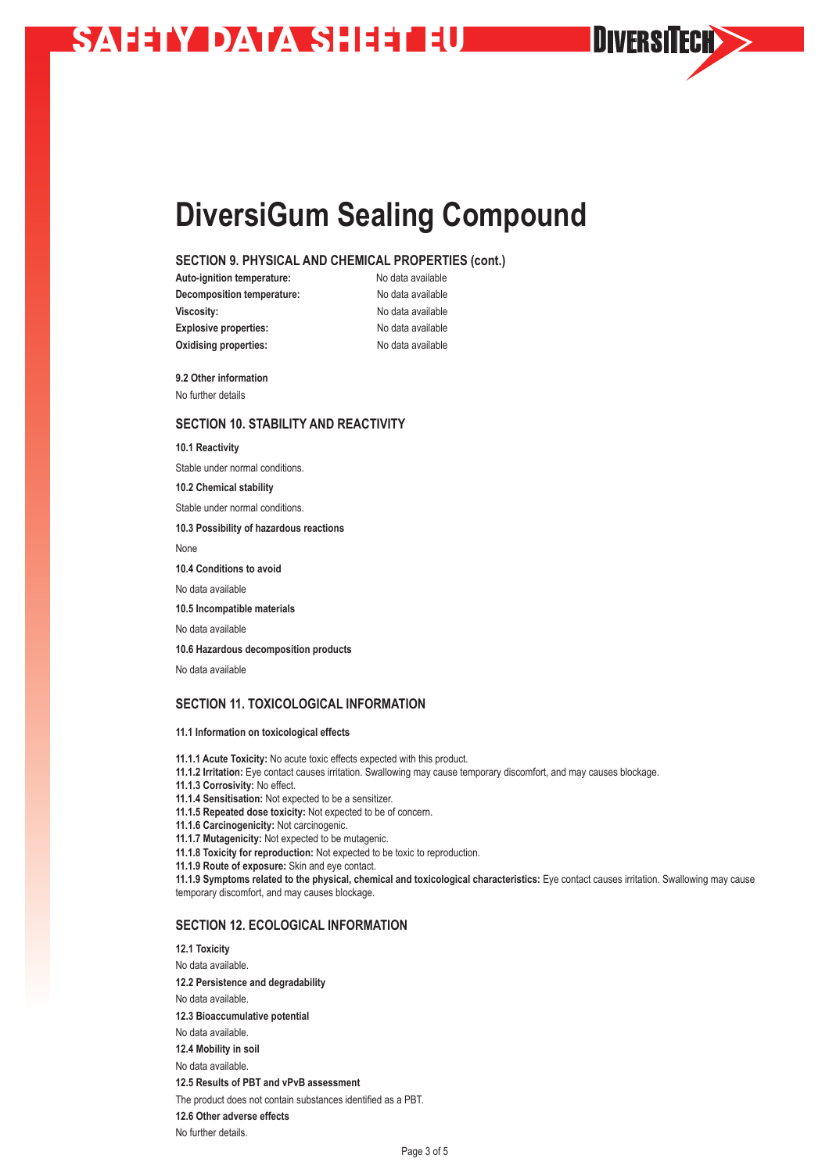# **SAHAY DATA SHEETUD**

## **DiversiGum Sealing Compound**

## **SECTION 9. PHYSICAL AND CHEMICAL PROPERTIES (cont.)**

**Auto-ignition temperature:** No data available **Decomposition temperature:** No data available **Viscosity: No data available Explosive properties:** No data available **Oxidising properties:** No data available

**DIVERSITECH>>** 

**9.2 Other information** No further details

### **SECTION 10. STABILITY AND REACTIVITY**

**10.1 Reactivity** Stable under normal conditions. **10.2 Chemical stability** Stable under normal conditions. **10.3 Possibility of hazardous reactions**  None **10.4 Conditions to avoid** No data available **10.5 Incompatible materials** No data available **10.6 Hazardous decomposition products** No data available

## **SECTION 11. TOXICOLOGICAL INFORMATION**

#### **11.1 Information on toxicological effects**

**11.1.1 Acute Toxicity:** No acute toxic effects expected with this product.

**11.1.2 Irritation:** Eye contact causes irritation. Swallowing may cause temporary discomfort, and may causes blockage.

**11.1.3 Corrosivity:** No effect.

**11.1.4 Sensitisation:** Not expected to be a sensitizer.

**11.1.5 Repeated dose toxicity:** Not expected to be of concern.

**11.1.6 Carcinogenicity:** Not carcinogenic.

**11.1.7 Mutagenicity:** Not expected to be mutagenic.

**11.1.8 Toxicity for reproduction:** Not expected to be toxic to reproduction.

**11.1.9 Route of exposure:** Skin and eye contact.

**11.1.9 Symptoms related to the physical, chemical and toxicological characteristics:** Eye contact causes irritation. Swallowing may cause temporary discomfort, and may causes blockage.

## **SECTION 12. ECOLOGICAL INFORMATION**

**12.1 Toxicity** No data available. **12.2 Persistence and degradability** No data available. **12.3 Bioaccumulative potential** No data available. **12.4 Mobility in soil** No data available. **12.5 Results of PBT and vPvB assessment** The product does not contain substances identified as a PBT. **12.6 Other adverse effects**

No further details.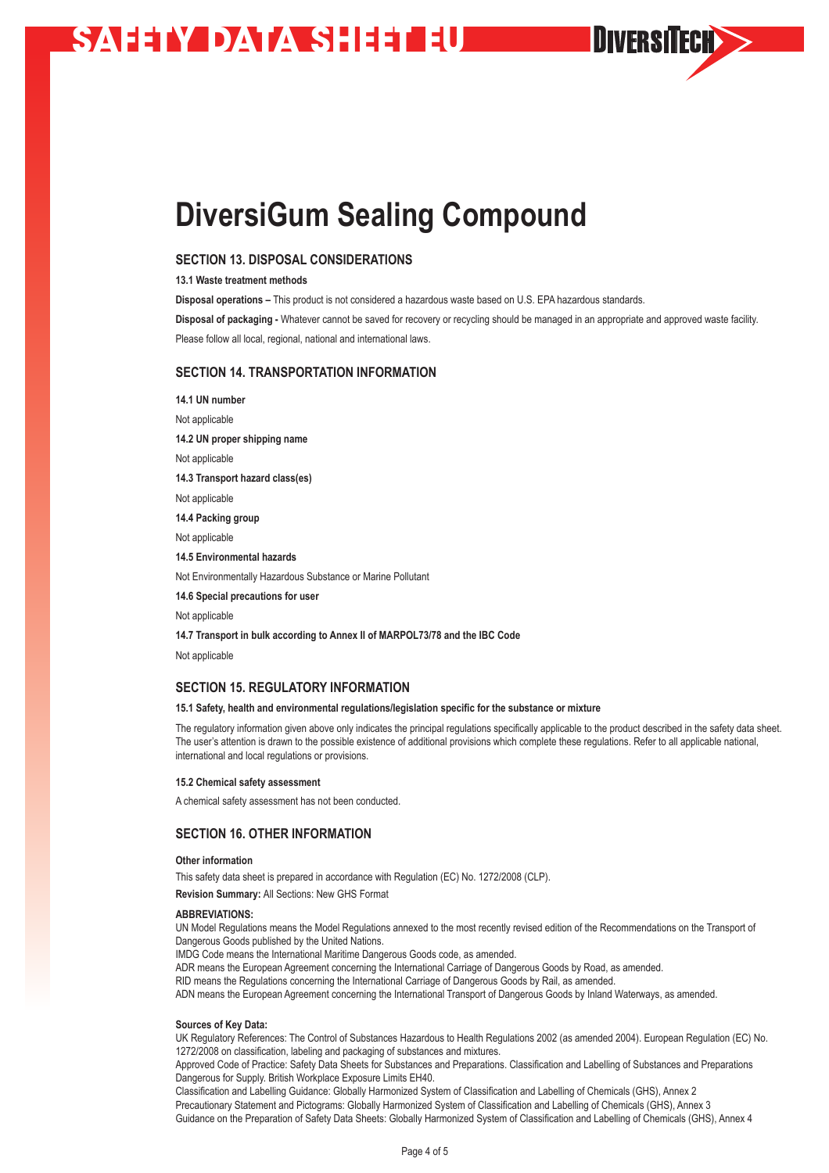# **SAHAY DATA SHEETILE**

# **DiversiGum Sealing Compound**

## **SECTION 13. DISPOSAL CONSIDERATIONS**

**13.1 Waste treatment methods**

**Disposal operations –** This product is not considered a hazardous waste based on U.S. EPA hazardous standards.

**Disposal of packaging -** Whatever cannot be saved for recovery or recycling should be managed in an appropriate and approved waste facility. Please follow all local, regional, national and international laws.

**DIVERSITECH>>** 

### **SECTION 14. TRANSPORTATION INFORMATION**

**14.1 UN number** Not applicable **14.2 UN proper shipping name** Not applicable **14.3 Transport hazard class(es)** Not applicable **14.4 Packing group** Not applicable **14.5 Environmental hazards** Not Environmentally Hazardous Substance or Marine Pollutant **14.6 Special precautions for user** Not applicable

**14.7 Transport in bulk according to Annex II of MARPOL73/78 and the IBC Code**

Not applicable

#### **SECTION 15. REGULATORY INFORMATION**

#### **15.1 Safety, health and environmental regulations/legislation specific for the substance or mixture**

The regulatory information given above only indicates the principal regulations specifically applicable to the product described in the safety data sheet. The user's attention is drawn to the possible existence of additional provisions which complete these regulations. Refer to all applicable national, international and local regulations or provisions.

#### **15.2 Chemical safety assessment**

A chemical safety assessment has not been conducted.

### **SECTION 16. OTHER INFORMATION**

#### **Other information**

This safety data sheet is prepared in accordance with Regulation (EC) No. 1272/2008 (CLP).

**Revision Summary:** All Sections: New GHS Format

#### **ABBREVIATIONS:**

UN Model Regulations means the Model Regulations annexed to the most recently revised edition of the Recommendations on the Transport of Dangerous Goods published by the United Nations.

IMDG Code means the International Maritime Dangerous Goods code, as amended.

ADR means the European Agreement concerning the International Carriage of Dangerous Goods by Road, as amended.

RID means the Regulations concerning the International Carriage of Dangerous Goods by Rail, as amended.

ADN means the European Agreement concerning the International Transport of Dangerous Goods by Inland Waterways, as amended.

#### **Sources of Key Data:**

UK Regulatory References: The Control of Substances Hazardous to Health Regulations 2002 (as amended 2004). European Regulation (EC) No. 1272/2008 on classification, labeling and packaging of substances and mixtures.

Approved Code of Practice: Safety Data Sheets for Substances and Preparations. Classification and Labelling of Substances and Preparations Dangerous for Supply. British Workplace Exposure Limits EH40.

Classification and Labelling Guidance: Globally Harmonized System of Classification and Labelling of Chemicals (GHS), Annex 2 Precautionary Statement and Pictograms: Globally Harmonized System of Classification and Labelling of Chemicals (GHS), Annex 3 Guidance on the Preparation of Safety Data Sheets: Globally Harmonized System of Classification and Labelling of Chemicals (GHS), Annex 4